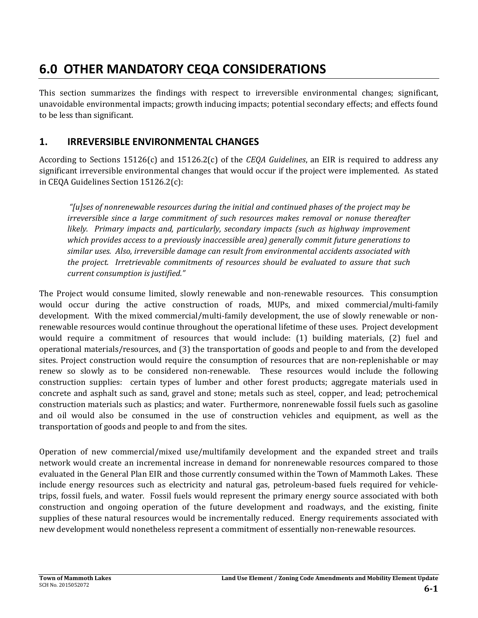# **6.0 OTHER MANDATORY CEQA CONSIDERATIONS**

This section summarizes the findings with respect to irreversible environmental changes; significant, unavoidable environmental impacts; growth inducing impacts; potential secondary effects; and effects found to be less than significant.

# **1. IRREVERSIBLE ENVIRONMENTAL CHANGES**

According to Sections 15126(c) and 15126.2(c) of the *CEQA Guidelines*, an EIR is required to address any significant irreversible environmental changes that would occur if the project were implemented. As stated in CEQA Guidelines Section 15126.2(c):

*"[u]ses of nonrenewable resources during the initial and continued phases of the project may be irreversible since a large commitment of such resources makes removal or nonuse thereafter likely. Primary impacts and, particularly, secondary impacts (such as highway improvement which provides access to a previously inaccessible area) generally commit future generations to similar uses. Also, irreversible damage can result from environmental accidents associated with the project. Irretrievable commitments of resources should be evaluated to assure that such current consumption is justified."*

The Project would consume limited, slowly renewable and non-renewable resources. This consumption would occur during the active construction of roads, MUPs, and mixed commercial/multi-family development. With the mixed commercial/multi-family development, the use of slowly renewable or nonrenewable resources would continue throughout the operational lifetime of these uses. Project development would require a commitment of resources that would include: (1) building materials, (2) fuel and operational materials/resources, and (3) the transportation of goods and people to and from the developed sites. Project construction would require the consumption of resources that are non-replenishable or may renew so slowly as to be considered non-renewable. These resources would include the following construction supplies: certain types of lumber and other forest products; aggregate materials used in concrete and asphalt such as sand, gravel and stone; metals such as steel, copper, and lead; petrochemical construction materials such as plastics; and water. Furthermore, nonrenewable fossil fuels such as gasoline and oil would also be consumed in the use of construction vehicles and equipment, as well as the transportation of goods and people to and from the sites.

Operation of new commercial/mixed use/multifamily development and the expanded street and trails network would create an incremental increase in demand for nonrenewable resources compared to those evaluated in the General Plan EIR and those currently consumed within the Town of Mammoth Lakes. These include energy resources such as electricity and natural gas, petroleum-based fuels required for vehicletrips, fossil fuels, and water. Fossil fuels would represent the primary energy source associated with both construction and ongoing operation of the future development and roadways, and the existing, finite supplies of these natural resources would be incrementally reduced. Energy requirements associated with new development would nonetheless represent a commitment of essentially non-renewable resources.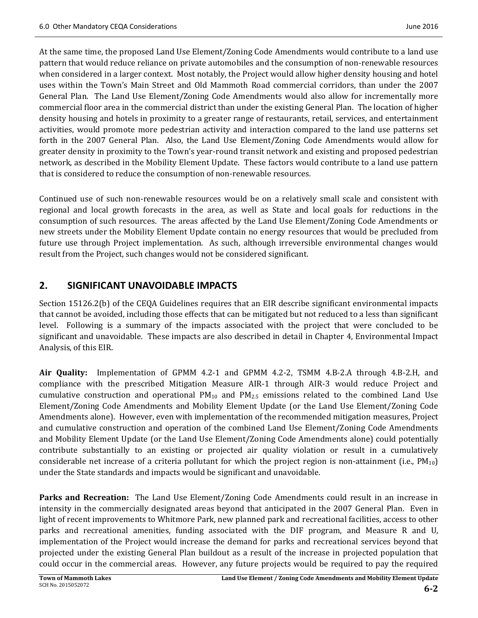At the same time, the proposed Land Use Element/Zoning Code Amendments would contribute to a land use pattern that would reduce reliance on private automobiles and the consumption of non-renewable resources when considered in a larger context. Most notably, the Project would allow higher density housing and hotel uses within the Town's Main Street and Old Mammoth Road commercial corridors, than under the 2007 General Plan. The Land Use Element/Zoning Code Amendments would also allow for incrementally more commercial floor area in the commercial district than under the existing General Plan. The location of higher density housing and hotels in proximity to a greater range of restaurants, retail, services, and entertainment activities, would promote more pedestrian activity and interaction compared to the land use patterns set forth in the 2007 General Plan. Also, the Land Use Element/Zoning Code Amendments would allow for greater density in proximity to the Town's year-round transit network and existing and proposed pedestrian network, as described in the Mobility Element Update. These factors would contribute to a land use pattern that is considered to reduce the consumption of non-renewable resources.

Continued use of such non-renewable resources would be on a relatively small scale and consistent with regional and local growth forecasts in the area, as well as State and local goals for reductions in the consumption of such resources. The areas affected by the Land Use Element/Zoning Code Amendments or new streets under the Mobility Element Update contain no energy resources that would be precluded from future use through Project implementation. As such, although irreversible environmental changes would result from the Project, such changes would not be considered significant.

# **2. SIGNIFICANT UNAVOIDABLE IMPACTS**

Section 15126.2(b) of the CEQA Guidelines requires that an EIR describe significant environmental impacts that cannot be avoided, including those effects that can be mitigated but not reduced to a less than significant level. Following is a summary of the impacts associated with the project that were concluded to be significant and unavoidable. These impacts are also described in detail in Chapter 4, Environmental Impact Analysis, of this EIR.

**Air Quality:** Implementation of GPMM 4.2-1 and GPMM 4.2-2, TSMM 4.B-2.A through 4.B-2.H, and compliance with the prescribed Mitigation Measure AIR-1 through AIR-3 would reduce Project and cumulative construction and operational  $PM_{10}$  and  $PM_{2.5}$  emissions related to the combined Land Use Element/Zoning Code Amendments and Mobility Element Update (or the Land Use Element/Zoning Code Amendments alone). However, even with implementation of the recommended mitigation measures, Project and cumulative construction and operation of the combined Land Use Element/Zoning Code Amendments and Mobility Element Update (or the Land Use Element/Zoning Code Amendments alone) could potentially contribute substantially to an existing or projected air quality violation or result in a cumulatively considerable net increase of a criteria pollutant for which the project region is non-attainment (i.e.,  $PM_{10}$ ) under the State standards and impacts would be significant and unavoidable.

**Parks and Recreation:** The Land Use Element/Zoning Code Amendments could result in an increase in intensity in the commercially designated areas beyond that anticipated in the 2007 General Plan. Even in light of recent improvements to Whitmore Park, new planned park and recreational facilities, access to other parks and recreational amenities, funding associated with the DIF program, and Measure R and U, implementation of the Project would increase the demand for parks and recreational services beyond that projected under the existing General Plan buildout as a result of the increase in projected population that could occur in the commercial areas. However, any future projects would be required to pay the required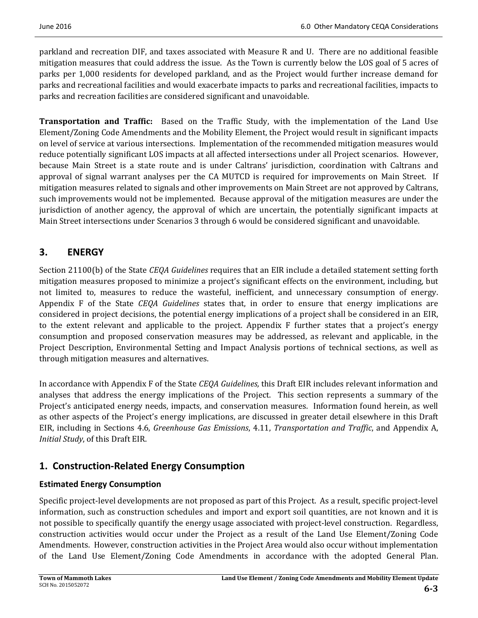parkland and recreation DIF, and taxes associated with Measure R and U. There are no additional feasible mitigation measures that could address the issue. As the Town is currently below the LOS goal of 5 acres of parks per 1,000 residents for developed parkland, and as the Project would further increase demand for parks and recreational facilities and would exacerbate impacts to parks and recreational facilities, impacts to parks and recreation facilities are considered significant and unavoidable.

**Transportation and Traffic:** Based on the Traffic Study, with the implementation of the Land Use Element/Zoning Code Amendments and the Mobility Element, the Project would result in significant impacts on level of service at various intersections. Implementation of the recommended mitigation measures would reduce potentially significant LOS impacts at all affected intersections under all Project scenarios. However, because Main Street is a state route and is under Caltrans' jurisdiction, coordination with Caltrans and approval of signal warrant analyses per the CA MUTCD is required for improvements on Main Street. If mitigation measures related to signals and other improvements on Main Street are not approved by Caltrans, such improvements would not be implemented. Because approval of the mitigation measures are under the jurisdiction of another agency, the approval of which are uncertain, the potentially significant impacts at Main Street intersections under Scenarios 3 through 6 would be considered significant and unavoidable.

# **3. ENERGY**

Section 21100(b) of the State *CEQA Guidelines* requires that an EIR include a detailed statement setting forth mitigation measures proposed to minimize a project's significant effects on the environment, including, but not limited to, measures to reduce the wasteful, inefficient, and unnecessary consumption of energy. Appendix F of the State *CEQA Guidelines* states that, in order to ensure that energy implications are considered in project decisions, the potential energy implications of a project shall be considered in an EIR, to the extent relevant and applicable to the project. Appendix  $F$  further states that a project's energy consumption and proposed conservation measures may be addressed, as relevant and applicable, in the Project Description, Environmental Setting and Impact Analysis portions of technical sections, as well as through mitigation measures and alternatives. 

In accordance with Appendix F of the State *CEQA Guidelines*, this Draft EIR includes relevant information and analyses that address the energy implications of the Project. This section represents a summary of the Project's anticipated energy needs, impacts, and conservation measures. Information found herein, as well as other aspects of the Project's energy implications, are discussed in greater detail elsewhere in this Draft EIR, including in Sections 4.6, *Greenhouse Gas Emissions*, 4.11, *Transportation and Traffic*, and Appendix A, *Initial Study*, of this Draft EIR.

# **1. Construction‐Related Energy Consumption**

### **Estimated Energy Consumption**

Specific project-level developments are not proposed as part of this Project. As a result, specific project-level information, such as construction schedules and import and export soil quantities, are not known and it is not possible to specifically quantify the energy usage associated with project-level construction. Regardless, construction activities would occur under the Project as a result of the Land Use Element/Zoning Code Amendments. However, construction activities in the Project Area would also occur without implementation of the Land Use Element/Zoning Code Amendments in accordance with the adopted General Plan.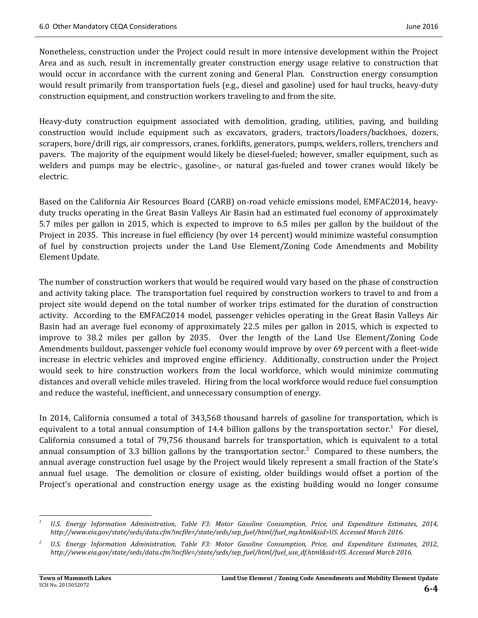Nonetheless, construction under the Project could result in more intensive development within the Project Area and as such, result in incrementally greater construction energy usage relative to construction that would occur in accordance with the current zoning and General Plan. Construction energy consumption would result primarily from transportation fuels (e.g., diesel and gasoline) used for haul trucks, heavy-duty construction equipment, and construction workers traveling to and from the site.

Heavy-duty construction equipment associated with demolition, grading, utilities, paving, and building construction would include equipment such as excavators, graders, tractors/loaders/backhoes, dozers, scrapers, bore/drill rigs, air compressors, cranes, forklifts, generators, pumps, welders, rollers, trenchers and pavers. The majority of the equipment would likely be diesel-fueled; however, smaller equipment, such as welders and pumps may be electric-, gasoline-, or natural gas-fueled and tower cranes would likely be electric. 

Based on the California Air Resources Board (CARB) on-road vehicle emissions model, EMFAC2014, heavyduty trucks operating in the Great Basin Valleys Air Basin had an estimated fuel economy of approximately 5.7 miles per gallon in 2015, which is expected to improve to 6.5 miles per gallon by the buildout of the Project in 2035. This increase in fuel efficiency (by over 14 percent) would minimize wasteful consumption of fuel by construction projects under the Land Use Element/Zoning Code Amendments and Mobility Element Update.

The number of construction workers that would be required would vary based on the phase of construction and activity taking place. The transportation fuel required by construction workers to travel to and from a project site would depend on the total number of worker trips estimated for the duration of construction activity. According to the EMFAC2014 model, passenger vehicles operating in the Great Basin Valleys Air Basin had an average fuel economy of approximately 22.5 miles per gallon in 2015, which is expected to improve to 38.2 miles per gallon by 2035. Over the length of the Land Use Element/Zoning Code Amendments buildout, passenger vehicle fuel economy would improve by over 69 percent with a fleet-wide increase in electric vehicles and improved engine efficiency. Additionally, construction under the Project would seek to hire construction workers from the local workforce, which would minimize commuting distances and overall vehicle miles traveled. Hiring from the local workforce would reduce fuel consumption and reduce the wasteful, inefficient, and unnecessary consumption of energy.

In 2014, California consumed a total of 343,568 thousand barrels of gasoline for transportation, which is equivalent to a total annual consumption of 14.4 billion gallons by the transportation sector.<sup>1</sup> For diesel, California consumed a total of 79,756 thousand barrels for transportation, which is equivalent to a total annual consumption of 3.3 billion gallons by the transportation sector.<sup>2</sup> Compared to these numbers, the annual average construction fuel usage by the Project would likely represent a small fraction of the State's annual fuel usage. The demolition or closure of existing, older buildings would offset a portion of the Project's operational and construction energy usage as the existing building would no longer consume

 *<sup>1</sup>U.S. Energy Information Administration, Table F3: Motor Gasoline Consumption, Price, and Expenditure Estimates, 2014, http://www.eia.gov/state/seds/data.cfm?incfile=/state/seds/sep\_fuel/html/fuel\_mg.html&sid=US. Accessed March 2016.*

*<sup>2</sup>U.S. Energy Information Administration, Table F3: Motor Gasoline Consumption, Price, and Expenditure Estimates, 2012, http://www.eia.gov/state/seds/data.cfm?incfile=/state/seds/sep\_fuel/html/fuel\_use\_df.html&sid=US. Accessed March 2016.*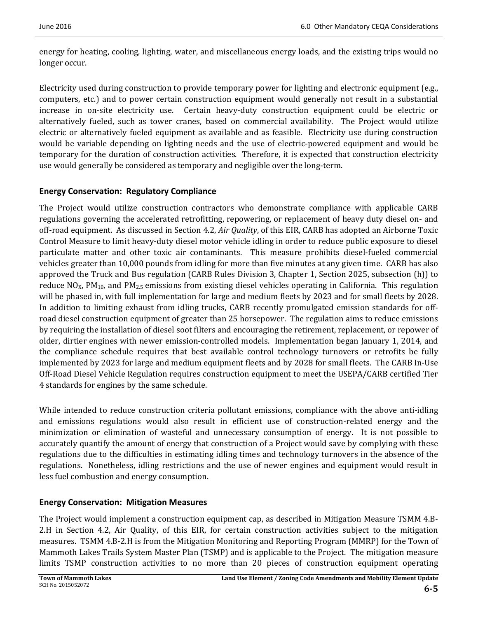energy for heating, cooling, lighting, water, and miscellaneous energy loads, and the existing trips would no longer occur.

Electricity used during construction to provide temporary power for lighting and electronic equipment (e.g., computers, etc.) and to power certain construction equipment would generally not result in a substantial increase in on-site electricity use. Certain heavy-duty construction equipment could be electric or alternatively fueled, such as tower cranes, based on commercial availability. The Project would utilize electric or alternatively fueled equipment as available and as feasible. Electricity use during construction would be variable depending on lighting needs and the use of electric-powered equipment and would be temporary for the duration of construction activities. Therefore, it is expected that construction electricity use would generally be considered as temporary and negligible over the long-term.

#### **Energy Conservation: Regulatory Compliance**

The Project would utilize construction contractors who demonstrate compliance with applicable CARB regulations governing the accelerated retrofitting, repowering, or replacement of heavy duty diesel on- and off-road equipment. As discussed in Section 4.2, Air Quality, of this EIR, CARB has adopted an Airborne Toxic Control Measure to limit heavy-duty diesel motor vehicle idling in order to reduce public exposure to diesel particulate matter and other toxic air contaminants. This measure prohibits diesel-fueled commercial vehicles greater than 10,000 pounds from idling for more than five minutes at any given time. CARB has also approved the Truck and Bus regulation (CARB Rules Division 3, Chapter 1, Section 2025, subsection (h)) to reduce  $NO_{X}$ ,  $PM_{10}$ , and  $PM_{2.5}$  emissions from existing diesel vehicles operating in California. This regulation will be phased in, with full implementation for large and medium fleets by 2023 and for small fleets by 2028. In addition to limiting exhaust from idling trucks, CARB recently promulgated emission standards for offroad diesel construction equipment of greater than 25 horsepower. The regulation aims to reduce emissions by requiring the installation of diesel soot filters and encouraging the retirement, replacement, or repower of older, dirtier engines with newer emission-controlled models. Implementation began January 1, 2014, and the compliance schedule requires that best available control technology turnovers or retrofits be fully implemented by 2023 for large and medium equipment fleets and by 2028 for small fleets. The CARB In-Use Off-Road Diesel Vehicle Regulation requires construction equipment to meet the USEPA/CARB certified Tier 4 standards for engines by the same schedule.

While intended to reduce construction criteria pollutant emissions, compliance with the above anti-idling and emissions regulations would also result in efficient use of construction-related energy and the minimization or elimination of wasteful and unnecessary consumption of energy. It is not possible to accurately quantify the amount of energy that construction of a Project would save by complying with these regulations due to the difficulties in estimating idling times and technology turnovers in the absence of the regulations. Nonetheless, idling restrictions and the use of newer engines and equipment would result in less fuel combustion and energy consumption.

### **Energy Conservation: Mitigation Measures**

The Project would implement a construction equipment cap, as described in Mitigation Measure TSMM 4.B-2.H in Section 4.2, Air Quality, of this EIR, for certain construction activities subject to the mitigation measures. TSMM 4.B-2.H is from the Mitigation Monitoring and Reporting Program (MMRP) for the Town of Mammoth Lakes Trails System Master Plan (TSMP) and is applicable to the Project. The mitigation measure limits TSMP construction activities to no more than 20 pieces of construction equipment operating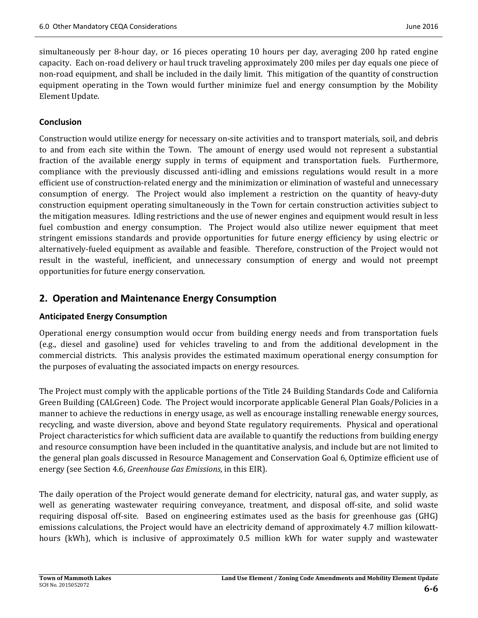simultaneously per 8-hour day, or 16 pieces operating 10 hours per day, averaging 200 hp rated engine capacity. Each on-road delivery or haul truck traveling approximately 200 miles per day equals one piece of non-road equipment, and shall be included in the daily limit. This mitigation of the quantity of construction equipment operating in the Town would further minimize fuel and energy consumption by the Mobility Element Update.

#### **Conclusion**

Construction would utilize energy for necessary on-site activities and to transport materials, soil, and debris to and from each site within the Town. The amount of energy used would not represent a substantial fraction of the available energy supply in terms of equipment and transportation fuels. Furthermore, compliance with the previously discussed anti-idling and emissions regulations would result in a more efficient use of construction-related energy and the minimization or elimination of wasteful and unnecessary consumption of energy. The Project would also implement a restriction on the quantity of heavy-duty construction equipment operating simultaneously in the Town for certain construction activities subject to the mitigation measures. Idling restrictions and the use of newer engines and equipment would result in less fuel combustion and energy consumption. The Project would also utilize newer equipment that meet stringent emissions standards and provide opportunities for future energy efficiency by using electric or alternatively-fueled equipment as available and feasible. Therefore, construction of the Project would not result in the wasteful, inefficient, and unnecessary consumption of energy and would not preempt opportunities for future energy conservation. 

# **2. Operation and Maintenance Energy Consumption**

#### **Anticipated Energy Consumption**

Operational energy consumption would occur from building energy needs and from transportation fuels (e.g., diesel and gasoline) used for vehicles traveling to and from the additional development in the commercial districts. This analysis provides the estimated maximum operational energy consumption for the purposes of evaluating the associated impacts on energy resources.

The Project must comply with the applicable portions of the Title 24 Building Standards Code and California Green Building (CALGreen) Code. The Project would incorporate applicable General Plan Goals/Policies in a manner to achieve the reductions in energy usage, as well as encourage installing renewable energy sources, recycling, and waste diversion, above and beyond State regulatory requirements. Physical and operational Project characteristics for which sufficient data are available to quantify the reductions from building energy and resource consumption have been included in the quantitative analysis, and include but are not limited to the general plan goals discussed in Resource Management and Conservation Goal 6, Optimize efficient use of energy (see Section 4.6, *Greenhouse Gas Emissions*, in this EIR).

The daily operation of the Project would generate demand for electricity, natural gas, and water supply, as well as generating wastewater requiring conveyance, treatment, and disposal off-site, and solid waste requiring disposal off-site. Based on engineering estimates used as the basis for greenhouse gas (GHG) emissions calculations, the Project would have an electricity demand of approximately 4.7 million kilowatthours (kWh), which is inclusive of approximately 0.5 million kWh for water supply and wastewater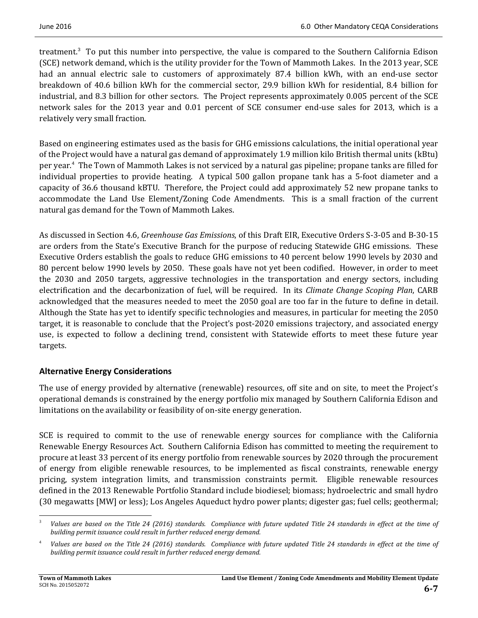treatment.<sup>3</sup> To put this number into perspective, the value is compared to the Southern California Edison (SCE) network demand, which is the utility provider for the Town of Mammoth Lakes. In the 2013 year, SCE had an annual electric sale to customers of approximately 87.4 billion kWh, with an end-use sector breakdown of 40.6 billion kWh for the commercial sector, 29.9 billion kWh for residential, 8.4 billion for industrial, and 8.3 billion for other sectors. The Project represents approximately 0.005 percent of the SCE network sales for the 2013 year and 0.01 percent of SCE consumer end-use sales for 2013, which is a relatively very small fraction.

Based on engineering estimates used as the basis for GHG emissions calculations, the initial operational year of the Project would have a natural gas demand of approximately 1.9 million kilo British thermal units (kBtu) per year.<sup>4</sup> The Town of Mammoth Lakes is not serviced by a natural gas pipeline; propane tanks are filled for individual properties to provide heating. A typical 500 gallon propane tank has a 5-foot diameter and a capacity of 36.6 thousand kBTU. Therefore, the Project could add approximately 52 new propane tanks to accommodate the Land Use Element/Zoning Code Amendments. This is a small fraction of the current natural gas demand for the Town of Mammoth Lakes.

As discussed in Section 4.6, *Greenhouse Gas Emissions*, of this Draft EIR, Executive Orders S-3-05 and B-30-15 are orders from the State's Executive Branch for the purpose of reducing Statewide GHG emissions. These Executive Orders establish the goals to reduce GHG emissions to 40 percent below 1990 levels by 2030 and 80 percent below 1990 levels by 2050. These goals have not yet been codified. However, in order to meet the 2030 and 2050 targets, aggressive technologies in the transportation and energy sectors, including electrification and the decarbonization of fuel, will be required. In its *Climate Change Scoping Plan*, CARB acknowledged that the measures needed to meet the 2050 goal are too far in the future to define in detail. Although the State has yet to identify specific technologies and measures, in particular for meeting the 2050 target, it is reasonable to conclude that the Project's post-2020 emissions trajectory, and associated energy use, is expected to follow a declining trend, consistent with Statewide efforts to meet these future year targets. 

#### **Alternative Energy Considerations**

The use of energy provided by alternative (renewable) resources, off site and on site, to meet the Project's operational demands is constrained by the energy portfolio mix managed by Southern California Edison and limitations on the availability or feasibility of on-site energy generation.

SCE is required to commit to the use of renewable energy sources for compliance with the California Renewable Energy Resources Act. Southern California Edison has committed to meeting the requirement to procure at least 33 percent of its energy portfolio from renewable sources by 2020 through the procurement of energy from eligible renewable resources, to be implemented as fiscal constraints, renewable energy pricing, system integration limits, and transmission constraints permit. Eligible renewable resources defined in the 2013 Renewable Portfolio Standard include biodiesel; biomass; hydroelectric and small hydro (30 megawatts [MW] or less); Los Angeles Aqueduct hydro power plants; digester gas; fuel cells; geothermal;

 Values are based on the Title 24 (2016) standards. Compliance with future updated Title 24 standards in effect at the time of *building permit issuance could result in further reduced energy demand.*

Values are based on the Title 24 (2016) standards. Compliance with future updated Title 24 standards in effect at the time of *building permit issuance could result in further reduced energy demand.*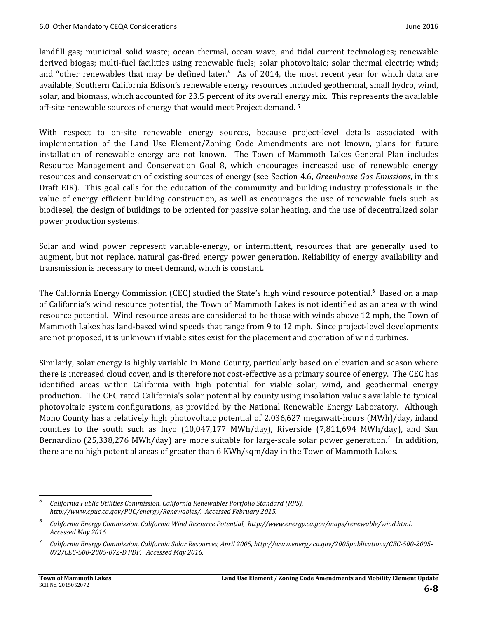landfill gas; municipal solid waste; ocean thermal, ocean wave, and tidal current technologies; renewable derived biogas; multi-fuel facilities using renewable fuels; solar photovoltaic; solar thermal electric; wind; and "other renewables that may be defined later." As of 2014, the most recent year for which data are available, Southern California Edison's renewable energy resources included geothermal, small hydro, wind, solar, and biomass, which accounted for 23.5 percent of its overall energy mix. This represents the available off-site renewable sources of energy that would meet Project demand. <sup>5</sup>

With respect to on-site renewable energy sources, because project-level details associated with implementation of the Land Use Element/Zoning Code Amendments are not known, plans for future installation of renewable energy are not known. The Town of Mammoth Lakes General Plan includes Resource Management and Conservation Goal 8, which encourages increased use of renewable energy resources and conservation of existing sources of energy (see Section 4.6, *Greenhouse Gas Emissions*, in this Draft EIR). This goal calls for the education of the community and building industry professionals in the value of energy efficient building construction, as well as encourages the use of renewable fuels such as biodiesel, the design of buildings to be oriented for passive solar heating, and the use of decentralized solar power production systems.

Solar and wind power represent variable-energy, or intermittent, resources that are generally used to augment, but not replace, natural gas-fired energy power generation. Reliability of energy availability and transmission is necessary to meet demand, which is constant.

The California Energy Commission (CEC) studied the State's high wind resource potential.<sup>6</sup> Based on a map of California's wind resource potential, the Town of Mammoth Lakes is not identified as an area with wind resource potential. Wind resource areas are considered to be those with winds above 12 mph, the Town of Mammoth Lakes has land-based wind speeds that range from 9 to 12 mph. Since project-level developments are not proposed, it is unknown if viable sites exist for the placement and operation of wind turbines.

Similarly, solar energy is highly variable in Mono County, particularly based on elevation and season where there is increased cloud cover, and is therefore not cost-effective as a primary source of energy. The CEC has identified areas within California with high potential for viable solar, wind, and geothermal energy production. The CEC rated California's solar potential by county using insolation values available to typical photovoltaic system configurations, as provided by the National Renewable Energy Laboratory. Although Mono County has a relatively high photovoltaic potential of 2,036,627 megawatt-hours (MWh)/day, inland counties to the south such as Inyo  $(10,047,177 \text{ MWh/day})$ , Riverside  $(7,811,694 \text{ MWh/day})$ , and San Bernardino (25,338,276 MWh/day) are more suitable for large-scale solar power generation.<sup>7</sup> In addition, there are no high potential areas of greater than 6 KWh/sqm/day in the Town of Mammoth Lakes.

 *5 California Public Utilities Commission, California Renewables Portfolio Standard (RPS), http://www.cpuc.ca.gov/PUC/energy/Renewables/. Accessed February 2015.* 

*<sup>6</sup> California Energy Commission. California Wind Resource Potential, http://www.energy.ca.gov/maps/renewable/wind.html. Accessed May 2016.*

*<sup>7</sup>* California Energy Commission, California Solar Resources, April 2005, http://www.energy.ca.gov/2005publications/CEC-500-2005-*072/CEC‐500‐2005‐072‐D.PDF. Accessed May 2016.*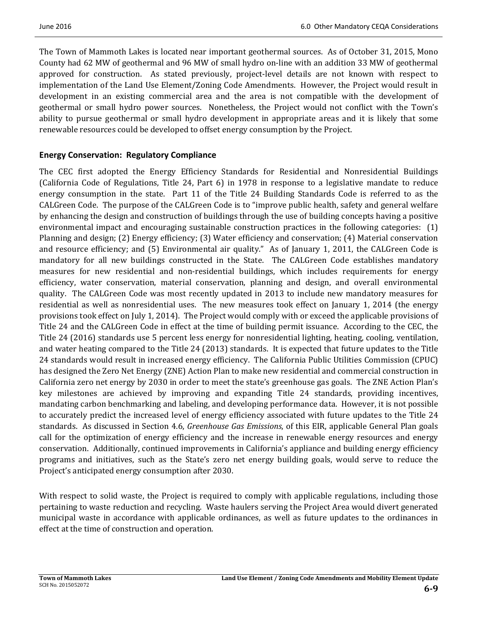The Town of Mammoth Lakes is located near important geothermal sources. As of October 31, 2015, Mono County had 62 MW of geothermal and 96 MW of small hydro on-line with an addition 33 MW of geothermal approved for construction. As stated previously, project-level details are not known with respect to implementation of the Land Use Element/Zoning Code Amendments. However, the Project would result in development in an existing commercial area and the area is not compatible with the development of geothermal or small hydro power sources. Nonetheless, the Project would not conflict with the Town's ability to pursue geothermal or small hydro development in appropriate areas and it is likely that some renewable resources could be developed to offset energy consumption by the Project.

#### **Energy Conservation: Regulatory Compliance**

The CEC first adopted the Energy Efficiency Standards for Residential and Nonresidential Buildings (California Code of Regulations, Title 24, Part  $6$ ) in 1978 in response to a legislative mandate to reduce energy consumption in the state. Part 11 of the Title 24 Building Standards Code is referred to as the CALGreen Code. The purpose of the CALGreen Code is to "improve public health, safety and general welfare by enhancing the design and construction of buildings through the use of building concepts having a positive environmental impact and encouraging sustainable construction practices in the following categories:  $(1)$ Planning and design; (2) Energy efficiency; (3) Water efficiency and conservation; (4) Material conservation and resource efficiency; and (5) Environmental air quality." As of January 1, 2011, the CALGreen Code is mandatory for all new buildings constructed in the State. The CALGreen Code establishes mandatory measures for new residential and non-residential buildings, which includes requirements for energy efficiency, water conservation, material conservation, planning and design, and overall environmental quality. The CALGreen Code was most recently updated in 2013 to include new mandatory measures for residential as well as nonresidential uses. The new measures took effect on January 1, 2014 (the energy provisions took effect on July 1, 2014). The Project would comply with or exceed the applicable provisions of Title 24 and the CALGreen Code in effect at the time of building permit issuance. According to the CEC, the Title 24 (2016) standards use 5 percent less energy for nonresidential lighting, heating, cooling, ventilation, and water heating compared to the Title 24 (2013) standards. It is expected that future updates to the Title 24 standards would result in increased energy efficiency. The California Public Utilities Commission (CPUC) has designed the Zero Net Energy (ZNE) Action Plan to make new residential and commercial construction in California zero net energy by 2030 in order to meet the state's greenhouse gas goals. The ZNE Action Plan's key milestones are achieved by improving and expanding Title 24 standards, providing incentives, mandating carbon benchmarking and labeling, and developing performance data. However, it is not possible to accurately predict the increased level of energy efficiency associated with future updates to the Title 24 standards. As discussed in Section 4.6, *Greenhouse Gas Emissions*, of this EIR, applicable General Plan goals call for the optimization of energy efficiency and the increase in renewable energy resources and energy conservation. Additionally, continued improvements in California's appliance and building energy efficiency programs and initiatives, such as the State's zero net energy building goals, would serve to reduce the Project's anticipated energy consumption after 2030.

With respect to solid waste, the Project is required to comply with applicable regulations, including those pertaining to waste reduction and recycling. Waste haulers serving the Project Area would divert generated municipal waste in accordance with applicable ordinances, as well as future updates to the ordinances in effect at the time of construction and operation.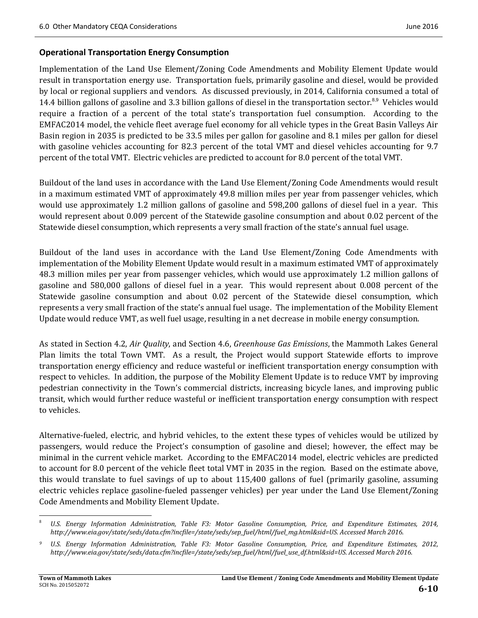#### **Operational Transportation Energy Consumption**

Implementation of the Land Use Element/Zoning Code Amendments and Mobility Element Update would result in transportation energy use. Transportation fuels, primarily gasoline and diesel, would be provided by local or regional suppliers and vendors. As discussed previously, in 2014, California consumed a total of 14.4 billion gallons of gasoline and 3.3 billion gallons of diesel in the transportation sector.<sup>8,9</sup> Vehicles would require a fraction of a percent of the total state's transportation fuel consumption. According to the EMFAC2014 model, the vehicle fleet average fuel economy for all vehicle types in the Great Basin Valleys Air Basin region in 2035 is predicted to be 33.5 miles per gallon for gasoline and 8.1 miles per gallon for diesel with gasoline vehicles accounting for 82.3 percent of the total VMT and diesel vehicles accounting for 9.7 percent of the total VMT. Electric vehicles are predicted to account for 8.0 percent of the total VMT.

Buildout of the land uses in accordance with the Land Use Element/Zoning Code Amendments would result in a maximum estimated VMT of approximately 49.8 million miles per year from passenger vehicles, which would use approximately 1.2 million gallons of gasoline and 598,200 gallons of diesel fuel in a year. This would represent about 0.009 percent of the Statewide gasoline consumption and about 0.02 percent of the Statewide diesel consumption, which represents a very small fraction of the state's annual fuel usage.

Buildout of the land uses in accordance with the Land Use Element/Zoning Code Amendments with implementation of the Mobility Element Update would result in a maximum estimated VMT of approximately 48.3 million miles per year from passenger vehicles, which would use approximately 1.2 million gallons of gasoline and 580,000 gallons of diesel fuel in a year. This would represent about 0.008 percent of the Statewide gasoline consumption and about 0.02 percent of the Statewide diesel consumption, which represents a very small fraction of the state's annual fuel usage. The implementation of the Mobility Element Update would reduce VMT, as well fuel usage, resulting in a net decrease in mobile energy consumption.

As stated in Section 4.2, *Air Quality*, and Section 4.6, *Greenhouse Gas Emissions*, the Mammoth Lakes General Plan limits the total Town VMT. As a result, the Project would support Statewide efforts to improve transportation energy efficiency and reduce wasteful or inefficient transportation energy consumption with respect to vehicles. In addition, the purpose of the Mobility Element Update is to reduce VMT by improving pedestrian connectivity in the Town's commercial districts, increasing bicycle lanes, and improving public transit, which would further reduce wasteful or inefficient transportation energy consumption with respect to vehicles.

Alternative-fueled, electric, and hybrid vehicles, to the extent these types of vehicles would be utilized by passengers, would reduce the Project's consumption of gasoline and diesel; however, the effect may be minimal in the current vehicle market. According to the EMFAC2014 model, electric vehicles are predicted to account for 8.0 percent of the vehicle fleet total VMT in 2035 in the region. Based on the estimate above, this would translate to fuel savings of up to about  $115,400$  gallons of fuel (primarily gasoline, assuming electric vehicles replace gasoline-fueled passenger vehicles) per year under the Land Use Element/Zoning Code Amendments and Mobility Element Update.

<sup>&</sup>lt;u> 1989 - Johann Stein, fransk politik (d. 1989)</u> <sup>8</sup>*U.S. Energy Information Administration, Table F3: Motor Gasoline Consumption, Price, and Expenditure Estimates, 2014, http://www.eia.gov/state/seds/data.cfm?incfile=/state/seds/sep\_fuel/html/fuel\_mg.html&sid=US. Accessed March 2016.*

<sup>&</sup>lt;sup>9</sup> U.S. Energy Information Administration, Table F3: Motor Gasoline Consumption, Price, and Expenditure Estimates, 2012, *http://www.eia.gov/state/seds/data.cfm?incfile=/state/seds/sep\_fuel/html/fuel\_use\_df.html&sid=US. Accessed March 2016.*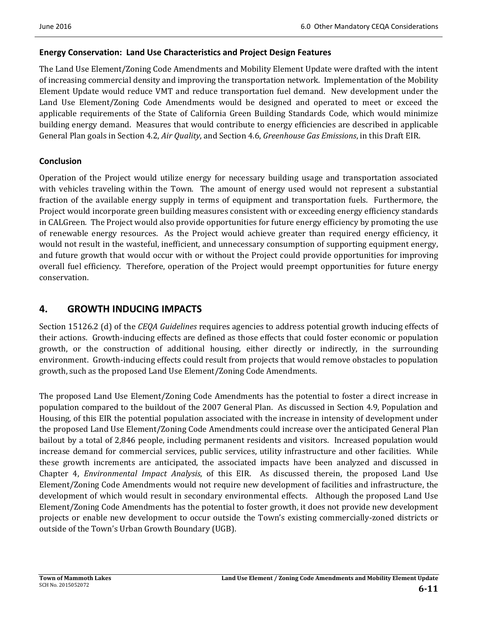#### **Energy Conservation: Land Use Characteristics and Project Design Features**

The Land Use Element/Zoning Code Amendments and Mobility Element Update were drafted with the intent of increasing commercial density and improving the transportation network. Implementation of the Mobility Element Update would reduce VMT and reduce transportation fuel demand. New development under the Land Use Element/Zoning Code Amendments would be designed and operated to meet or exceed the applicable requirements of the State of California Green Building Standards Code, which would minimize building energy demand. Measures that would contribute to energy efficiencies are described in applicable General Plan goals in Section 4.2, *Air Quality*, and Section 4.6, *Greenhouse Gas Emissions*, in this Draft EIR.

#### **Conclusion**

Operation of the Project would utilize energy for necessary building usage and transportation associated with vehicles traveling within the Town. The amount of energy used would not represent a substantial fraction of the available energy supply in terms of equipment and transportation fuels. Furthermore, the Project would incorporate green building measures consistent with or exceeding energy efficiency standards in CALGreen. The Project would also provide opportunities for future energy efficiency by promoting the use of renewable energy resources. As the Project would achieve greater than required energy efficiency, it would not result in the wasteful, inefficient, and unnecessary consumption of supporting equipment energy, and future growth that would occur with or without the Project could provide opportunities for improving overall fuel efficiency. Therefore, operation of the Project would preempt opportunities for future energy conservation. 

# **4. GROWTH INDUCING IMPACTS**

Section 15126.2 (d) of the *CEQA Guidelines* requires agencies to address potential growth inducing effects of their actions. Growth-inducing effects are defined as those effects that could foster economic or population growth, or the construction of additional housing, either directly or indirectly, in the surrounding environment. Growth-inducing effects could result from projects that would remove obstacles to population growth, such as the proposed Land Use Element/Zoning Code Amendments.

The proposed Land Use Element/Zoning Code Amendments has the potential to foster a direct increase in population compared to the buildout of the 2007 General Plan. As discussed in Section 4.9, Population and Housing, of this EIR the potential population associated with the increase in intensity of development under the proposed Land Use Element/Zoning Code Amendments could increase over the anticipated General Plan bailout by a total of 2,846 people, including permanent residents and visitors. Increased population would increase demand for commercial services, public services, utility infrastructure and other facilities. While these growth increments are anticipated, the associated impacts have been analyzed and discussed in Chapter 4, *Environmental Impact Analysis*, of this EIR. As discussed therein, the proposed Land Use Element/Zoning Code Amendments would not require new development of facilities and infrastructure, the development of which would result in secondary environmental effects. Although the proposed Land Use Element/Zoning Code Amendments has the potential to foster growth, it does not provide new development projects or enable new development to occur outside the Town's existing commercially-zoned districts or outside of the Town's Urban Growth Boundary (UGB).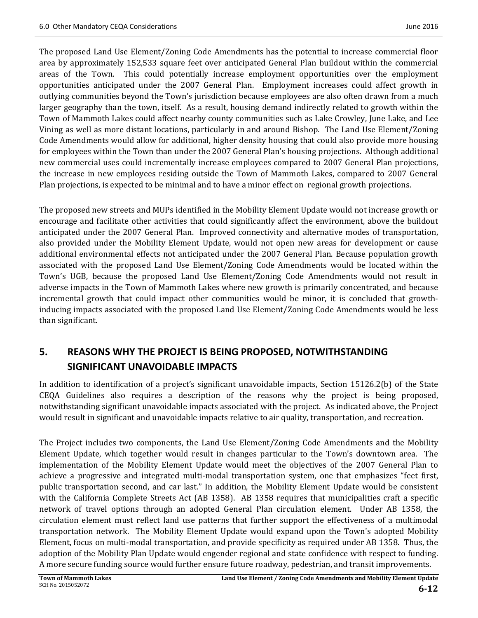The proposed Land Use Element/Zoning Code Amendments has the potential to increase commercial floor area by approximately 152,533 square feet over anticipated General Plan buildout within the commercial areas of the Town. This could potentially increase employment opportunities over the employment opportunities anticipated under the 2007 General Plan. Employment increases could affect growth in outlying communities beyond the Town's jurisdiction because employees are also often drawn from a much larger geography than the town, itself. As a result, housing demand indirectly related to growth within the Town of Mammoth Lakes could affect nearby county communities such as Lake Crowley, June Lake, and Lee Vining as well as more distant locations, particularly in and around Bishop. The Land Use Element/Zoning Code Amendments would allow for additional, higher density housing that could also provide more housing for employees within the Town than under the 2007 General Plan's housing projections. Although additional new commercial uses could incrementally increase employees compared to 2007 General Plan projections, the increase in new employees residing outside the Town of Mammoth Lakes, compared to 2007 General Plan projections, is expected to be minimal and to have a minor effect on regional growth projections.

The proposed new streets and MUPs identified in the Mobility Element Update would not increase growth or encourage and facilitate other activities that could significantly affect the environment, above the buildout anticipated under the 2007 General Plan. Improved connectivity and alternative modes of transportation, also provided under the Mobility Element Update, would not open new areas for development or cause additional environmental effects not anticipated under the 2007 General Plan. Because population growth associated with the proposed Land Use Element/Zoning Code Amendments would be located within the Town's UGB, because the proposed Land Use Element/Zoning Code Amendments would not result in adverse impacts in the Town of Mammoth Lakes where new growth is primarily concentrated, and because incremental growth that could impact other communities would be minor, it is concluded that growth– inducing impacts associated with the proposed Land Use Element/Zoning Code Amendments would be less than significant.

# **5. REASONS WHY THE PROJECT IS BEING PROPOSED, NOTWITHSTANDING SIGNIFICANT UNAVOIDABLE IMPACTS**

In addition to identification of a project's significant unavoidable impacts, Section 15126.2(b) of the State CEQA Guidelines also requires a description of the reasons why the project is being proposed, notwithstanding significant unavoidable impacts associated with the project. As indicated above, the Project would result in significant and unavoidable impacts relative to air quality, transportation, and recreation.

The Project includes two components, the Land Use Element/Zoning Code Amendments and the Mobility Element Update, which together would result in changes particular to the Town's downtown area. The implementation of the Mobility Element Update would meet the objectives of the 2007 General Plan to achieve a progressive and integrated multi-modal transportation system, one that emphasizes "feet first, public transportation second, and car last." In addition, the Mobility Element Update would be consistent with the California Complete Streets Act (AB 1358). AB 1358 requires that municipalities craft a specific network of travel options through an adopted General Plan circulation element. Under AB 1358, the circulation element must reflect land use patterns that further support the effectiveness of a multimodal transportation network. The Mobility Element Update would expand upon the Town's adopted Mobility Element, focus on multi-modal transportation, and provide specificity as required under AB 1358. Thus, the adoption of the Mobility Plan Update would engender regional and state confidence with respect to funding. A more secure funding source would further ensure future roadway, pedestrian, and transit improvements.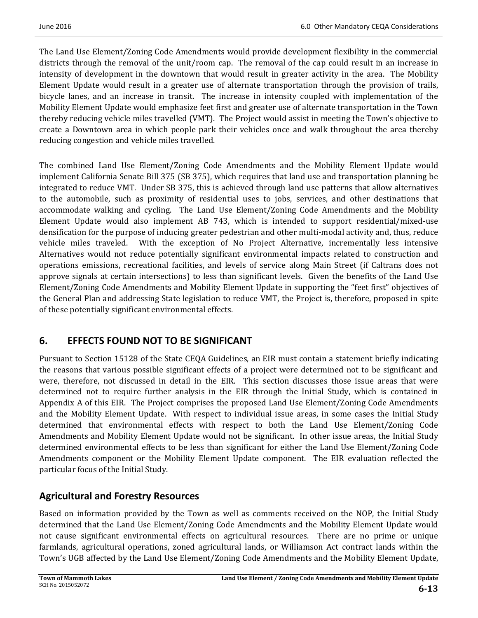The Land Use Element/Zoning Code Amendments would provide development flexibility in the commercial districts through the removal of the unit/room cap. The removal of the cap could result in an increase in intensity of development in the downtown that would result in greater activity in the area. The Mobility Element Update would result in a greater use of alternate transportation through the provision of trails, bicycle lanes, and an increase in transit. The increase in intensity coupled with implementation of the Mobility Element Update would emphasize feet first and greater use of alternate transportation in the Town thereby reducing vehicle miles travelled (VMT). The Project would assist in meeting the Town's objective to create a Downtown area in which people park their vehicles once and walk throughout the area thereby reducing congestion and vehicle miles travelled.

The combined Land Use Element/Zoning Code Amendments and the Mobility Element Update would implement California Senate Bill 375 (SB 375), which requires that land use and transportation planning be integrated to reduce VMT. Under SB 375, this is achieved through land use patterns that allow alternatives to the automobile, such as proximity of residential uses to jobs, services, and other destinations that accommodate walking and cycling. The Land Use Element/Zoning Code Amendments and the Mobility Element Update would also implement AB 743, which is intended to support residential/mixed-use densification for the purpose of inducing greater pedestrian and other multi-modal activity and, thus, reduce vehicle miles traveled. With the exception of No Project Alternative, incrementally less intensive Alternatives would not reduce potentially significant environmental impacts related to construction and operations emissions, recreational facilities, and levels of service along Main Street (if Caltrans does not approve signals at certain intersections) to less than significant levels. Given the benefits of the Land Use Element/Zoning Code Amendments and Mobility Element Update in supporting the "feet first" objectives of the General Plan and addressing State legislation to reduce VMT, the Project is, therefore, proposed in spite of these potentially significant environmental effects.

# **6. EFFECTS FOUND NOT TO BE SIGNIFICANT**

Pursuant to Section 15128 of the State CEQA Guidelines, an EIR must contain a statement briefly indicating the reasons that various possible significant effects of a project were determined not to be significant and were, therefore, not discussed in detail in the EIR. This section discusses those issue areas that were determined not to require further analysis in the EIR through the Initial Study, which is contained in Appendix A of this EIR. The Project comprises the proposed Land Use Element/Zoning Code Amendments and the Mobility Element Update. With respect to individual issue areas, in some cases the Initial Study determined that environmental effects with respect to both the Land Use Element/Zoning Code Amendments and Mobility Element Update would not be significant. In other issue areas, the Initial Study determined environmental effects to be less than significant for either the Land Use Element/Zoning Code Amendments component or the Mobility Element Update component. The EIR evaluation reflected the particular focus of the Initial Study.

# **Agricultural and Forestry Resources**

Based on information provided by the Town as well as comments received on the NOP, the Initial Study determined that the Land Use Element/Zoning Code Amendments and the Mobility Element Update would not cause significant environmental effects on agricultural resources. There are no prime or unique farmlands, agricultural operations, zoned agricultural lands, or Williamson Act contract lands within the Town's UGB affected by the Land Use Element/Zoning Code Amendments and the Mobility Element Update,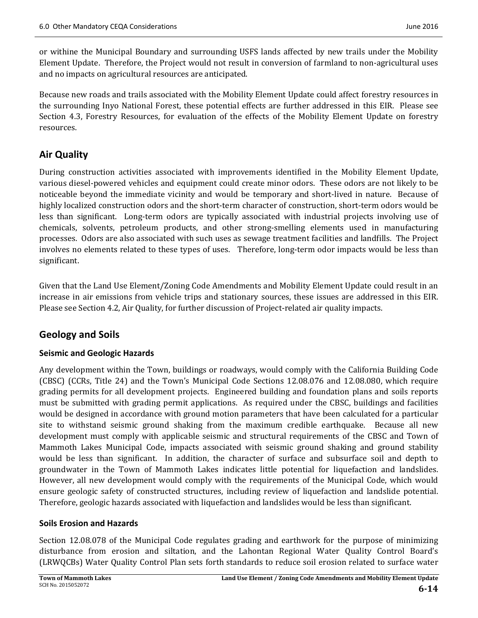or withine the Municipal Boundary and surrounding USFS lands affected by new trails under the Mobility Element Update. Therefore, the Project would not result in conversion of farmland to non-agricultural uses and no impacts on agricultural resources are anticipated.

Because new roads and trails associated with the Mobility Element Update could affect forestry resources in the surrounding Inyo National Forest, these potential effects are further addressed in this EIR. Please see Section 4.3, Forestry Resources, for evaluation of the effects of the Mobility Element Update on forestry resources. 

# **Air Quality**

During construction activities associated with improvements identified in the Mobility Element Update, various diesel-powered vehicles and equipment could create minor odors. These odors are not likely to be noticeable beyond the immediate vicinity and would be temporary and short-lived in nature. Because of highly localized construction odors and the short-term character of construction, short-term odors would be less than significant. Long-term odors are typically associated with industrial projects involving use of chemicals, solvents, petroleum products, and other strong-smelling elements used in manufacturing processes. Odors are also associated with such uses as sewage treatment facilities and landfills. The Project involves no elements related to these types of uses. Therefore, long-term odor impacts would be less than significant. 

Given that the Land Use Element/Zoning Code Amendments and Mobility Element Update could result in an increase in air emissions from vehicle trips and stationary sources, these issues are addressed in this EIR. Please see Section 4.2, Air Quality, for further discussion of Project-related air quality impacts.

# **Geology and Soils**

#### **Seismic and Geologic Hazards**

Any development within the Town, buildings or roadways, would comply with the California Building Code (CBSC) (CCRs, Title 24) and the Town's Municipal Code Sections 12.08.076 and 12.08.080, which require grading permits for all development projects. Engineered building and foundation plans and soils reports must be submitted with grading permit applications. As required under the CBSC, buildings and facilities would be designed in accordance with ground motion parameters that have been calculated for a particular site to withstand seismic ground shaking from the maximum credible earthquake. Because all new development must comply with applicable seismic and structural requirements of the CBSC and Town of Mammoth Lakes Municipal Code, impacts associated with seismic ground shaking and ground stability would be less than significant. In addition, the character of surface and subsurface soil and depth to groundwater in the Town of Mammoth Lakes indicates little potential for liquefaction and landslides. However, all new development would comply with the requirements of the Municipal Code, which would ensure geologic safety of constructed structures, including review of liquefaction and landslide potential. Therefore, geologic hazards associated with liquefaction and landslides would be less than significant.

#### **Soils Erosion and Hazards**

Section 12.08.078 of the Municipal Code regulates grading and earthwork for the purpose of minimizing disturbance from erosion and siltation, and the Lahontan Regional Water Quality Control Board's (LRWQCBs) Water Quality Control Plan sets forth standards to reduce soil erosion related to surface water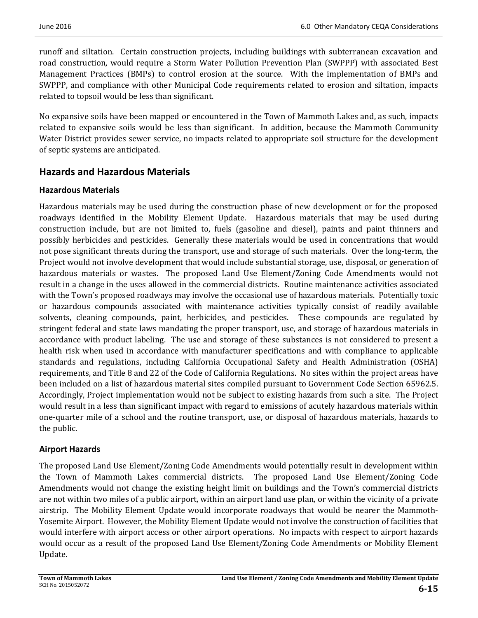runoff and siltation. Certain construction projects, including buildings with subterranean excavation and road construction, would require a Storm Water Pollution Prevention Plan (SWPPP) with associated Best Management Practices (BMPs) to control erosion at the source. With the implementation of BMPs and SWPPP, and compliance with other Municipal Code requirements related to erosion and siltation, impacts related to topsoil would be less than significant.

No expansive soils have been mapped or encountered in the Town of Mammoth Lakes and, as such, impacts related to expansive soils would be less than significant. In addition, because the Mammoth Community Water District provides sewer service, no impacts related to appropriate soil structure for the development of septic systems are anticipated.

# **Hazards and Hazardous Materials**

### **Hazardous Materials**

Hazardous materials may be used during the construction phase of new development or for the proposed roadways identified in the Mobility Element Update. Hazardous materials that may be used during construction include, but are not limited to, fuels (gasoline and diesel), paints and paint thinners and possibly herbicides and pesticides. Generally these materials would be used in concentrations that would not pose significant threats during the transport, use and storage of such materials. Over the long-term, the Project would not involve development that would include substantial storage, use, disposal, or generation of hazardous materials or wastes. The proposed Land Use Element/Zoning Code Amendments would not result in a change in the uses allowed in the commercial districts. Routine maintenance activities associated with the Town's proposed roadways may involve the occasional use of hazardous materials. Potentially toxic or hazardous compounds associated with maintenance activities typically consist of readily available solvents, cleaning compounds, paint, herbicides, and pesticides. These compounds are regulated by stringent federal and state laws mandating the proper transport, use, and storage of hazardous materials in accordance with product labeling. The use and storage of these substances is not considered to present a health risk when used in accordance with manufacturer specifications and with compliance to applicable standards and regulations, including California Occupational Safety and Health Administration (OSHA) requirements, and Title 8 and 22 of the Code of California Regulations. No sites within the project areas have been included on a list of hazardous material sites compiled pursuant to Government Code Section 65962.5. Accordingly, Project implementation would not be subject to existing hazards from such a site. The Project would result in a less than significant impact with regard to emissions of acutely hazardous materials within one-quarter mile of a school and the routine transport, use, or disposal of hazardous materials, hazards to the public.

# **Airport Hazards**

The proposed Land Use Element/Zoning Code Amendments would potentially result in development within the Town of Mammoth Lakes commercial districts. The proposed Land Use Element/Zoning Code Amendments would not change the existing height limit on buildings and the Town's commercial districts are not within two miles of a public airport, within an airport land use plan, or within the vicinity of a private airstrip. The Mobility Element Update would incorporate roadways that would be nearer the Mammoth-Yosemite Airport. However, the Mobility Element Update would not involve the construction of facilities that would interfere with airport access or other airport operations. No impacts with respect to airport hazards would occur as a result of the proposed Land Use Element/Zoning Code Amendments or Mobility Element Update.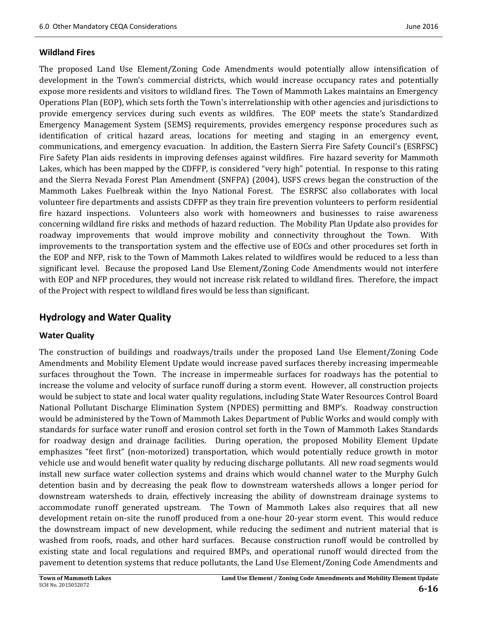#### **Wildland Fires**

The proposed Land Use Element/Zoning Code Amendments would potentially allow intensification of development in the Town's commercial districts, which would increase occupancy rates and potentially expose more residents and visitors to wildland fires. The Town of Mammoth Lakes maintains an Emergency Operations Plan (EOP), which sets forth the Town's interrelationship with other agencies and jurisdictions to provide emergency services during such events as wildfires. The EOP meets the state's Standardized Emergency Management System (SEMS) requirements, provides emergency response procedures such as identification of critical hazard areas, locations for meeting and staging in an emergency event, communications, and emergency evacuation. In addition, the Eastern Sierra Fire Safety Council's (ESRFSC) Fire Safety Plan aids residents in improving defenses against wildfires. Fire hazard severity for Mammoth Lakes, which has been mapped by the CDFFP, is considered "very high" potential. In response to this rating and the Sierra Nevada Forest Plan Amendment (SNFPA) (2004), USFS crews began the construction of the Mammoth Lakes Fuelbreak within the Inyo National Forest. The ESRFSC also collaborates with local volunteer fire departments and assists CDFFP as they train fire prevention volunteers to perform residential fire hazard inspections. Volunteers also work with homeowners and businesses to raise awareness concerning wildland fire risks and methods of hazard reduction. The Mobility Plan Update also provides for roadway improvements that would improve mobility and connectivity throughout the Town. With improvements to the transportation system and the effective use of EOCs and other procedures set forth in the EOP and NFP, risk to the Town of Mammoth Lakes related to wildfires would be reduced to a less than significant level. Because the proposed Land Use Element/Zoning Code Amendments would not interfere with EOP and NFP procedures, they would not increase risk related to wildland fires. Therefore, the impact of the Project with respect to wildland fires would be less than significant.

### **Hydrology and Water Quality**

#### **Water Quality**

The construction of buildings and roadways/trails under the proposed Land Use Element/Zoning Code Amendments and Mobility Element Update would increase paved surfaces thereby increasing impermeable surfaces throughout the Town. The increase in impermeable surfaces for roadways has the potential to increase the volume and velocity of surface runoff during a storm event. However, all construction projects would be subject to state and local water quality regulations, including State Water Resources Control Board National Pollutant Discharge Elimination System (NPDES) permitting and BMP's. Roadway construction would be administered by the Town of Mammoth Lakes Department of Public Works and would comply with standards for surface water runoff and erosion control set forth in the Town of Mammoth Lakes Standards for roadway design and drainage facilities. During operation, the proposed Mobility Element Update emphasizes "feet first" (non-motorized) transportation, which would potentially reduce growth in motor vehicle use and would benefit water quality by reducing discharge pollutants. All new road segments would install new surface water collection systems and drains which would channel water to the Murphy Gulch detention basin and by decreasing the peak flow to downstream watersheds allows a longer period for downstream watersheds to drain, effectively increasing the ability of downstream drainage systems to accommodate runoff generated upstream. The Town of Mammoth Lakes also requires that all new development retain on-site the runoff produced from a one-hour 20-year storm event. This would reduce the downstream impact of new development, while reducing the sediment and nutrient material that is washed from roofs, roads, and other hard surfaces. Because construction runoff would be controlled by existing state and local regulations and required BMPs, and operational runoff would directed from the pavement to detention systems that reduce pollutants, the Land Use Element/Zoning Code Amendments and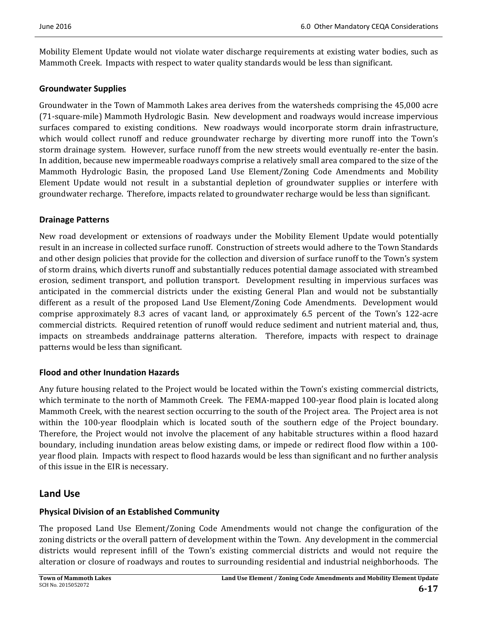Mobility Element Update would not violate water discharge requirements at existing water bodies, such as Mammoth Creek. Impacts with respect to water quality standards would be less than significant.

#### **Groundwater Supplies**

Groundwater in the Town of Mammoth Lakes area derives from the watersheds comprising the 45,000 acre (71‐square‐mile) Mammoth Hydrologic Basin. New development and roadways would increase impervious surfaces compared to existing conditions. New roadways would incorporate storm drain infrastructure, which would collect runoff and reduce groundwater recharge by diverting more runoff into the Town's storm drainage system. However, surface runoff from the new streets would eventually re-enter the basin. In addition, because new impermeable roadways comprise a relatively small area compared to the size of the Mammoth Hydrologic Basin, the proposed Land Use Element/Zoning Code Amendments and Mobility Element Update would not result in a substantial depletion of groundwater supplies or interfere with groundwater recharge. Therefore, impacts related to groundwater recharge would be less than significant.

#### **Drainage Patterns**

New road development or extensions of roadways under the Mobility Element Update would potentially result in an increase in collected surface runoff. Construction of streets would adhere to the Town Standards and other design policies that provide for the collection and diversion of surface runoff to the Town's system of storm drains, which diverts runoff and substantially reduces potential damage associated with streambed erosion, sediment transport, and pollution transport. Development resulting in impervious surfaces was anticipated in the commercial districts under the existing General Plan and would not be substantially different as a result of the proposed Land Use Element/Zoning Code Amendments. Development would comprise approximately 8.3 acres of vacant land, or approximately 6.5 percent of the Town's 122-acre commercial districts. Required retention of runoff would reduce sediment and nutrient material and, thus, impacts on streambeds anddrainage patterns alteration. Therefore, impacts with respect to drainage patterns would be less than significant.

#### **Flood and other Inundation Hazards**

Any future housing related to the Project would be located within the Town's existing commercial districts, which terminate to the north of Mammoth Creek. The FEMA-mapped 100-year flood plain is located along Mammoth Creek, with the nearest section occurring to the south of the Project area. The Project area is not within the 100-year floodplain which is located south of the southern edge of the Project boundary. Therefore, the Project would not involve the placement of any habitable structures within a flood hazard boundary, including inundation areas below existing dams, or impede or redirect flood flow within a 100year flood plain. Impacts with respect to flood hazards would be less than significant and no further analysis of this issue in the EIR is necessary.

### **Land Use**

# **Physical Division of an Established Community**

The proposed Land Use Element/Zoning Code Amendments would not change the configuration of the zoning districts or the overall pattern of development within the Town. Any development in the commercial districts would represent infill of the Town's existing commercial districts and would not require the alteration or closure of roadways and routes to surrounding residential and industrial neighborhoods. The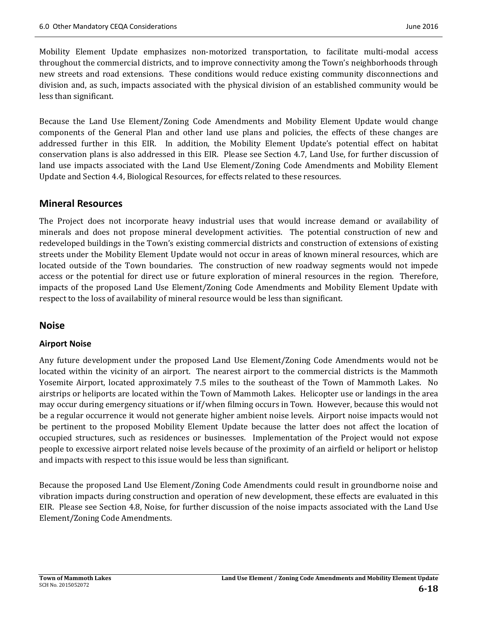Mobility Element Update emphasizes non-motorized transportation, to facilitate multi-modal access throughout the commercial districts, and to improve connectivity among the Town's neighborhoods through new streets and road extensions. These conditions would reduce existing community disconnections and division and, as such, impacts associated with the physical division of an established community would be less than significant.

Because the Land Use Element/Zoning Code Amendments and Mobility Element Update would change components of the General Plan and other land use plans and policies, the effects of these changes are addressed further in this EIR. In addition, the Mobility Element Update's potential effect on habitat conservation plans is also addressed in this EIR. Please see Section 4.7, Land Use, for further discussion of land use impacts associated with the Land Use Element/Zoning Code Amendments and Mobility Element Update and Section 4.4, Biological Resources, for effects related to these resources.

#### **Mineral Resources**

The Project does not incorporate heavy industrial uses that would increase demand or availability of minerals and does not propose mineral development activities. The potential construction of new and redeveloped buildings in the Town's existing commercial districts and construction of extensions of existing streets under the Mobility Element Update would not occur in areas of known mineral resources, which are located outside of the Town boundaries. The construction of new roadway segments would not impede access or the potential for direct use or future exploration of mineral resources in the region. Therefore, impacts of the proposed Land Use Element/Zoning Code Amendments and Mobility Element Update with respect to the loss of availability of mineral resource would be less than significant.

#### **Noise**

#### **Airport Noise**

Any future development under the proposed Land Use Element/Zoning Code Amendments would not be located within the vicinity of an airport. The nearest airport to the commercial districts is the Mammoth Yosemite Airport, located approximately 7.5 miles to the southeast of the Town of Mammoth Lakes. No airstrips or heliports are located within the Town of Mammoth Lakes. Helicopter use or landings in the area may occur during emergency situations or if/when filming occurs in Town. However, because this would not be a regular occurrence it would not generate higher ambient noise levels. Airport noise impacts would not be pertinent to the proposed Mobility Element Update because the latter does not affect the location of occupied structures, such as residences or businesses. Implementation of the Project would not expose people to excessive airport related noise levels because of the proximity of an airfield or heliport or helistop and impacts with respect to this issue would be less than significant.

Because the proposed Land Use Element/Zoning Code Amendments could result in groundborne noise and vibration impacts during construction and operation of new development, these effects are evaluated in this EIR. Please see Section 4.8, Noise, for further discussion of the noise impacts associated with the Land Use Element/Zoning Code Amendments.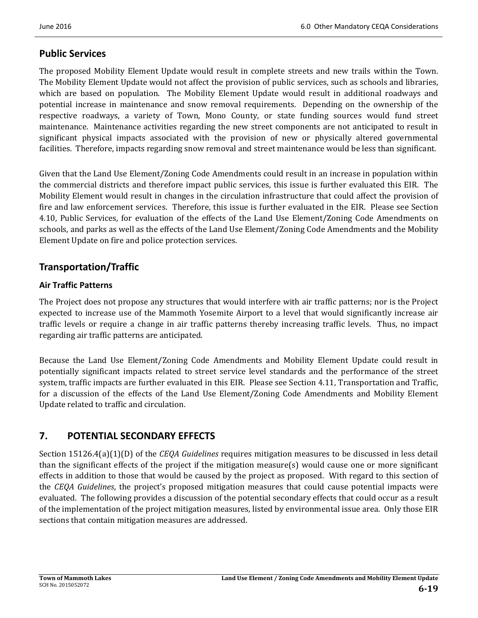# **Public Services**

The proposed Mobility Element Update would result in complete streets and new trails within the Town. The Mobility Element Update would not affect the provision of public services, such as schools and libraries, which are based on population. The Mobility Element Update would result in additional roadways and potential increase in maintenance and snow removal requirements. Depending on the ownership of the respective roadways, a variety of Town, Mono County, or state funding sources would fund street maintenance. Maintenance activities regarding the new street components are not anticipated to result in significant physical impacts associated with the provision of new or physically altered governmental facilities. Therefore, impacts regarding snow removal and street maintenance would be less than significant.

Given that the Land Use Element/Zoning Code Amendments could result in an increase in population within the commercial districts and therefore impact public services, this issue is further evaluated this EIR. The Mobility Element would result in changes in the circulation infrastructure that could affect the provision of fire and law enforcement services. Therefore, this issue is further evaluated in the EIR. Please see Section 4.10, Public Services, for evaluation of the effects of the Land Use Element/Zoning Code Amendments on schools, and parks as well as the effects of the Land Use Element/Zoning Code Amendments and the Mobility Element Update on fire and police protection services.

# **Transportation/Traffic**

#### **Air Traffic Patterns**

The Project does not propose any structures that would interfere with air traffic patterns; nor is the Project expected to increase use of the Mammoth Yosemite Airport to a level that would significantly increase air traffic levels or require a change in air traffic patterns thereby increasing traffic levels. Thus, no impact regarding air traffic patterns are anticipated.

Because the Land Use Element/Zoning Code Amendments and Mobility Element Update could result in potentially significant impacts related to street service level standards and the performance of the street system, traffic impacts are further evaluated in this EIR. Please see Section 4.11, Transportation and Traffic, for a discussion of the effects of the Land Use Element/Zoning Code Amendments and Mobility Element Update related to traffic and circulation.

# **7. POTENTIAL SECONDARY EFFECTS**

Section 15126.4(a)(1)(D) of the *CEQA Guidelines* requires mitigation measures to be discussed in less detail than the significant effects of the project if the mitigation measure(s) would cause one or more significant effects in addition to those that would be caused by the project as proposed. With regard to this section of the *CEQA Guidelines*, the project's proposed mitigation measures that could cause potential impacts were evaluated. The following provides a discussion of the potential secondary effects that could occur as a result of the implementation of the project mitigation measures, listed by environmental issue area. Only those EIR sections that contain mitigation measures are addressed.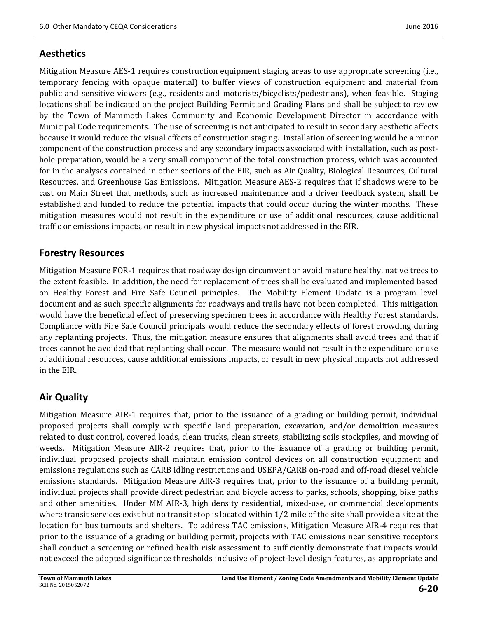### **Aesthetics**

Mitigation Measure AES-1 requires construction equipment staging areas to use appropriate screening (i.e., temporary fencing with opaque material) to buffer views of construction equipment and material from public and sensitive viewers (e.g., residents and motorists/bicyclists/pedestrians), when feasible. Staging locations shall be indicated on the project Building Permit and Grading Plans and shall be subject to review by the Town of Mammoth Lakes Community and Economic Development Director in accordance with Municipal Code requirements. The use of screening is not anticipated to result in secondary aesthetic affects because it would reduce the visual effects of construction staging. Installation of screening would be a minor component of the construction process and any secondary impacts associated with installation, such as posthole preparation, would be a very small component of the total construction process, which was accounted for in the analyses contained in other sections of the EIR, such as Air Quality, Biological Resources, Cultural Resources, and Greenhouse Gas Emissions. Mitigation Measure AES-2 requires that if shadows were to be cast on Main Street that methods, such as increased maintenance and a driver feedback system, shall be established and funded to reduce the potential impacts that could occur during the winter months. These mitigation measures would not result in the expenditure or use of additional resources, cause additional traffic or emissions impacts, or result in new physical impacts not addressed in the EIR.

### **Forestry Resources**

Mitigation Measure FOR-1 requires that roadway design circumvent or avoid mature healthy, native trees to the extent feasible. In addition, the need for replacement of trees shall be evaluated and implemented based on Healthy Forest and Fire Safe Council principles. The Mobility Element Update is a program level document and as such specific alignments for roadways and trails have not been completed. This mitigation would have the beneficial effect of preserving specimen trees in accordance with Healthy Forest standards. Compliance with Fire Safe Council principals would reduce the secondary effects of forest crowding during any replanting projects. Thus, the mitigation measure ensures that alignments shall avoid trees and that if trees cannot be avoided that replanting shall occur. The measure would not result in the expenditure or use of additional resources, cause additional emissions impacts, or result in new physical impacts not addressed in the EIR.

# **Air Quality**

Mitigation Measure AIR-1 requires that, prior to the issuance of a grading or building permit, individual proposed projects shall comply with specific land preparation, excavation, and/or demolition measures related to dust control, covered loads, clean trucks, clean streets, stabilizing soils stockpiles, and mowing of weeds. Mitigation Measure AIR-2 requires that, prior to the issuance of a grading or building permit, individual proposed projects shall maintain emission control devices on all construction equipment and emissions regulations such as CARB idling restrictions and USEPA/CARB on-road and off-road diesel vehicle emissions standards. Mitigation Measure AIR-3 requires that, prior to the issuance of a building permit, individual projects shall provide direct pedestrian and bicycle access to parks, schools, shopping, bike paths and other amenities. Under MM AIR-3, high density residential, mixed-use, or commercial developments where transit services exist but no transit stop is located within  $1/2$  mile of the site shall provide a site at the location for bus turnouts and shelters. To address TAC emissions, Mitigation Measure AIR-4 requires that prior to the issuance of a grading or building permit, projects with TAC emissions near sensitive receptors shall conduct a screening or refined health risk assessment to sufficiently demonstrate that impacts would not exceed the adopted significance thresholds inclusive of project-level design features, as appropriate and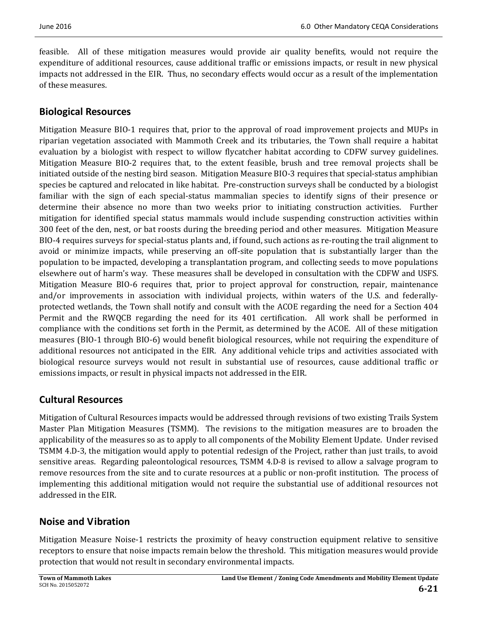feasible. All of these mitigation measures would provide air quality benefits, would not require the expenditure of additional resources, cause additional traffic or emissions impacts, or result in new physical impacts not addressed in the EIR. Thus, no secondary effects would occur as a result of the implementation of these measures.

# **Biological Resources**

Mitigation Measure BIO-1 requires that, prior to the approval of road improvement projects and MUPs in riparian vegetation associated with Mammoth Creek and its tributaries, the Town shall require a habitat evaluation by a biologist with respect to willow flycatcher habitat according to CDFW survey guidelines. Mitigation Measure BIO-2 requires that, to the extent feasible, brush and tree removal projects shall be initiated outside of the nesting bird season. Mitigation Measure BIO-3 requires that special-status amphibian species be captured and relocated in like habitat. Pre-construction surveys shall be conducted by a biologist familiar with the sign of each special-status mammalian species to identify signs of their presence or determine their absence no more than two weeks prior to initiating construction activities. Further mitigation for identified special status mammals would include suspending construction activities within 300 feet of the den, nest, or bat roosts during the breeding period and other measures. Mitigation Measure BIO-4 requires surveys for special-status plants and, if found, such actions as re-routing the trail alignment to avoid or minimize impacts, while preserving an off-site population that is substantially larger than the population to be impacted, developing a transplantation program, and collecting seeds to move populations elsewhere out of harm's way. These measures shall be developed in consultation with the CDFW and USFS. Mitigation Measure BIO-6 requires that, prior to project approval for construction, repair, maintenance and/or improvements in association with individual projects, within waters of the U.S. and federallyprotected wetlands, the Town shall notify and consult with the ACOE regarding the need for a Section 404 Permit and the RWQCB regarding the need for its 401 certification. All work shall be performed in compliance with the conditions set forth in the Permit, as determined by the ACOE. All of these mitigation measures (BIO-1 through BIO-6) would benefit biological resources, while not requiring the expenditure of additional resources not anticipated in the EIR. Any additional vehicle trips and activities associated with biological resource surveys would not result in substantial use of resources, cause additional traffic or emissions impacts, or result in physical impacts not addressed in the EIR.

# **Cultural Resources**

Mitigation of Cultural Resources impacts would be addressed through revisions of two existing Trails System Master Plan Mitigation Measures (TSMM). The revisions to the mitigation measures are to broaden the applicability of the measures so as to apply to all components of the Mobility Element Update. Under revised TSMM 4.D-3, the mitigation would apply to potential redesign of the Project, rather than just trails, to avoid sensitive areas. Regarding paleontological resources, TSMM 4.D-8 is revised to allow a salvage program to remove resources from the site and to curate resources at a public or non-profit institution. The process of implementing this additional mitigation would not require the substantial use of additional resources not addressed in the EIR.

# **Noise and Vibration**

Mitigation Measure Noise-1 restricts the proximity of heavy construction equipment relative to sensitive receptors to ensure that noise impacts remain below the threshold. This mitigation measures would provide protection that would not result in secondary environmental impacts.